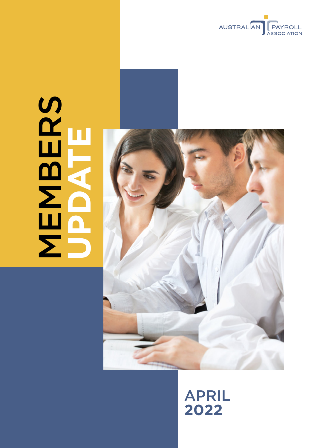

# **MBERS UPDATE**



# APRIL **2022**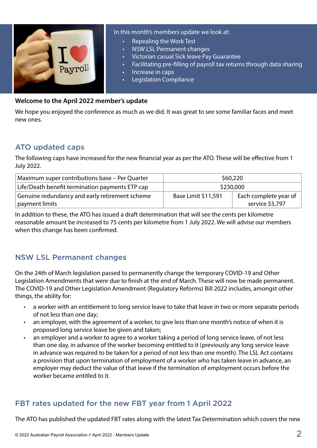

#### In this month's members update we look at:

- Repealing the Work Test
- NSW LSL Permanent changes
- Victorian casual Sick leave Pay Guarantee
- Facilitating pre-filling of payroll tax returns through data sharing
- Increase in caps
- Legislation Compliance

#### **Welcome to the April 2022 member's update**

We hope you enjoyed the conference as much as we did. It was great to see some familiar faces and meet new ones.

# ATO updated caps

The following caps have increased for the new financial year as per the ATO. These will be effective from 1 July 2022.

| Maximum super contributions base – Per Quarter                   | \$60,220            |                                          |
|------------------------------------------------------------------|---------------------|------------------------------------------|
| Life/Death benefit termination payments ETP cap                  | \$230,000           |                                          |
| Genuine redundancy and early retirement scheme<br>payment limits | Base Limit \$11,591 | Each complete year of<br>service \$5,797 |

In addition to these, the ATO has issued a draft determination that will see the cents per kilometre reasonable amount be increased to 75 cents per kilometre from 1 July 2022. We will advise our members when this change has been confirmed.

# NSW LSL Permanent changes

On the 24th of March legislation passed to permanently change the temporary COVID-19 and Other Legislation Amendments that were due to finish at the end of March. These will now be made permanent. The COVID-19 and Other Legislation Amendment (Regulatory Reforms) Bill 2022 includes, amongst other things, the ability for:

- a worker with an entitlement to long service leave to take that leave in two or more separate periods of not less than one day;
- an employer, with the agreement of a worker, to give less than one month's notice of when it is proposed long service leave be given and taken;
- an employer and a worker to agree to a worker taking a period of long service leave, of not less than one day, in advance of the worker becoming entitled to it (previously any long service leave in advance was required to be taken for a period of not less than one month). The LSL Act contains a provision that upon termination of employment of a worker who has taken leave in advance, an employer may deduct the value of that leave if the termination of employment occurs before the worker became entitled to it.

# FBT rates updated for the new FBT year from 1 April 2022

The ATO has published the updated FBT rates along with the latest Tax Determination which covers the new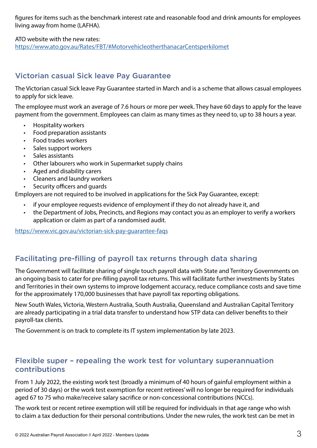figures for items such as the benchmark interest rate and reasonable food and drink amounts for employees living away from home (LAFHA).

ATO website with the new rates: <https://www.ato.gov.au/Rates/FBT/#MotorvehicleotherthanacarCentsperkilomet>

# Victorian casual Sick leave Pay Guarantee

The Victorian casual Sick leave Pay Guarantee started in March and is a scheme that allows casual employees to apply for sick leave.

The employee must work an average of 7.6 hours or more per week. They have 60 days to apply for the leave payment from the government. Employees can claim as many times as they need to, up to 38 hours a year.

- Hospitality workers
- Food preparation assistants
- Food trades workers
- Sales support workers
- Sales assistants
- Other labourers who work in Supermarket supply chains
- Aged and disability carers
- Cleaners and laundry workers
- Security officers and quards

Employers are not required to be involved in applications for the Sick Pay Guarantee, except:

- if your employee requests evidence of employment if they do not already have it, and
- the Department of Jobs, Precincts, and Regions may contact you as an employer to verify a workers application or claim as part of a randomised audit.

<https://www.vic.gov.au/victorian-sick-pay-guarantee-faqs>

# Facilitating pre-filling of payroll tax returns through data sharing

The Government will facilitate sharing of single touch payroll data with State and Territory Governments on an ongoing basis to cater for pre-filling payroll tax returns. This will facilitate further investments by States and Territories in their own systems to improve lodgement accuracy, reduce compliance costs and save time for the approximately 170,000 businesses that have payroll tax reporting obligations.

New South Wales, Victoria, Western Australia, South Australia, Queensland and Australian Capital Territory are already participating in a trial data transfer to understand how STP data can deliver benefits to their payroll-tax clients.

The Government is on track to complete its IT system implementation by late 2023.

## Flexible super – repealing the work test for voluntary superannuation contributions

From 1 July 2022, the existing work test (broadly a minimum of 40 hours of gainful employment within a period of 30 days) or the work test exemption for recent retirees' will no longer be required for individuals aged 67 to 75 who make/receive salary sacrifice or non-concessional contributions (NCCs).

The work test or recent retiree exemption will still be required for individuals in that age range who wish to claim a tax deduction for their personal contributions. Under the new rules, the work test can be met in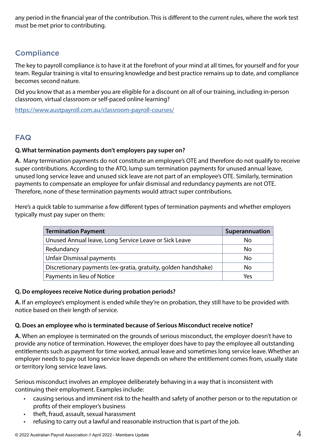any period in the financial year of the contribution. This is different to the current rules, where the work test must be met prior to contributing.

# **Compliance**

The key to payroll compliance is to have it at the forefront of your mind at all times, for yourself and for your team. Regular training is vital to ensuring knowledge and best practice remains up to date, and compliance becomes second nature.

Did you know that as a member you are eligible for a discount on all of our training, including in-person classroom, virtual classroom or self-paced online learning?

<https://www.austpayroll.com.au/classroom-payroll-courses/>

# FAQ

#### **Q. What termination payments don't employers pay super on?**

**A.** Many termination payments do not constitute an employee's OTE and therefore do not qualify to receive super contributions. According to the ATO, lump sum termination payments for unused annual leave, unused long service leave and unused sick leave are not part of an employee's OTE. Similarly, termination payments to compensate an employee for unfair dismissal and redundancy payments are not OTE. Therefore, none of these termination payments would attract super contributions.

Here's a quick table to summarise a few different types of termination payments and whether employers typically must pay super on them:

| <b>Termination Payment</b>                                     | Superannuation |
|----------------------------------------------------------------|----------------|
| Unused Annual leave, Long Service Leave or Sick Leave          | No             |
| Redundancy                                                     | No             |
| <b>Unfair Dismissal payments</b>                               | No             |
| Discretionary payments (ex-gratia, gratuity, golden handshake) | No             |
| Payments in lieu of Notice                                     | Yes            |

#### **Q. Do employees receive Notice during probation periods?**

**A.** If an employee's employment is ended while they're on probation, they still have to be provided with notice based on their length of service.

#### **Q. Does an employee who is terminated because of Serious Misconduct receive notice?**

**A.** When an employee is terminated on the grounds of serious misconduct, the employer doesn't have to provide any notice of termination. However, the employer does have to pay the employee all outstanding entitlements such as payment for time worked, annual leave and sometimes long service leave. Whether an employer needs to pay out long service leave depends on where the entitlement comes from, usually state or territory long service leave laws.

Serious misconduct involves an employee deliberately behaving in a way that is inconsistent with continuing their employment. Examples include:

- causing serious and imminent risk to the health and safety of another person or to the reputation or profits of their employer's business
- theft, fraud, assault, sexual harassment
- refusing to carry out a lawful and reasonable instruction that is part of the job.